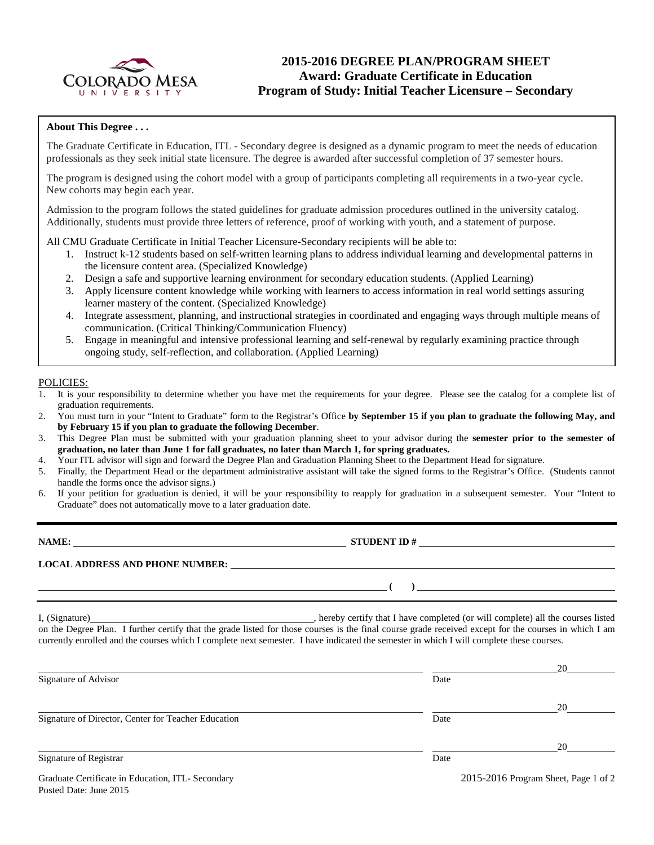

# **2015-2016 DEGREE PLAN/PROGRAM SHEET Award: Graduate Certificate in Education Program of Study: Initial Teacher Licensure – Secondary**

## **About This Degree . . .**

The Graduate Certificate in Education, ITL - Secondary degree is designed as a dynamic program to meet the needs of education professionals as they seek initial state licensure. The degree is awarded after successful completion of 37 semester hours.

The program is designed using the cohort model with a group of participants completing all requirements in a two-year cycle. New cohorts may begin each year.

Admission to the program follows the stated guidelines for graduate admission procedures outlined in the university catalog. Additionally, students must provide three letters of reference, proof of working with youth, and a statement of purpose.

All CMU Graduate Certificate in Initial Teacher Licensure-Secondary recipients will be able to:

- 1. Instruct k-12 students based on self-written learning plans to address individual learning and developmental patterns in the licensure content area. (Specialized Knowledge)
- 2. Design a safe and supportive learning environment for secondary education students. (Applied Learning)
- 3. Apply licensure content knowledge while working with learners to access information in real world settings assuring learner mastery of the content. (Specialized Knowledge)
- 4. Integrate assessment, planning, and instructional strategies in coordinated and engaging ways through multiple means of communication. (Critical Thinking/Communication Fluency)
- 5. Engage in meaningful and intensive professional learning and self-renewal by regularly examining practice through ongoing study, self-reflection, and collaboration. (Applied Learning)

### POLICIES:

- 1. It is your responsibility to determine whether you have met the requirements for your degree. Please see the catalog for a complete list of graduation requirements.
- 2. You must turn in your "Intent to Graduate" form to the Registrar's Office **by September 15 if you plan to graduate the following May, and by February 15 if you plan to graduate the following December**.
- 3. This Degree Plan must be submitted with your graduation planning sheet to your advisor during the **semester prior to the semester of graduation, no later than June 1 for fall graduates, no later than March 1, for spring graduates.**
- 4. Your ITL advisor will sign and forward the Degree Plan and Graduation Planning Sheet to the Department Head for signature.
- 5. Finally, the Department Head or the department administrative assistant will take the signed forms to the Registrar's Office. (Students cannot handle the forms once the advisor signs.)
- 6. If your petition for graduation is denied, it will be your responsibility to reapply for graduation in a subsequent semester. Your "Intent to Graduate" does not automatically move to a later graduation date.

| NAME:                                  | <b>STUDENT ID#</b> |  |  |
|----------------------------------------|--------------------|--|--|
| <b>LOCAL ADDRESS AND PHONE NUMBER:</b> |                    |  |  |
|                                        |                    |  |  |

I, (Signature) , hereby certify that I have completed (or will complete) all the courses listed on the Degree Plan. I further certify that the grade listed for those courses is the final course grade received except for the courses in which I am currently enrolled and the courses which I complete next semester. I have indicated the semester in which I will complete these courses.

|                                                     |      | 20                                       |
|-----------------------------------------------------|------|------------------------------------------|
| Signature of Advisor                                | Date |                                          |
|                                                     |      | 20                                       |
| Signature of Director, Center for Teacher Education | Date |                                          |
|                                                     |      | 20                                       |
| Signature of Registrar                              | Date |                                          |
| Graduate Certificate in Education ITI - Secondary   |      | $2015 - 2016$ Program Sheet, Page 1 of 2 |

Posted Date: June 2015

 $2013$ - $2010$  Program Sheet, Page 1 of 2